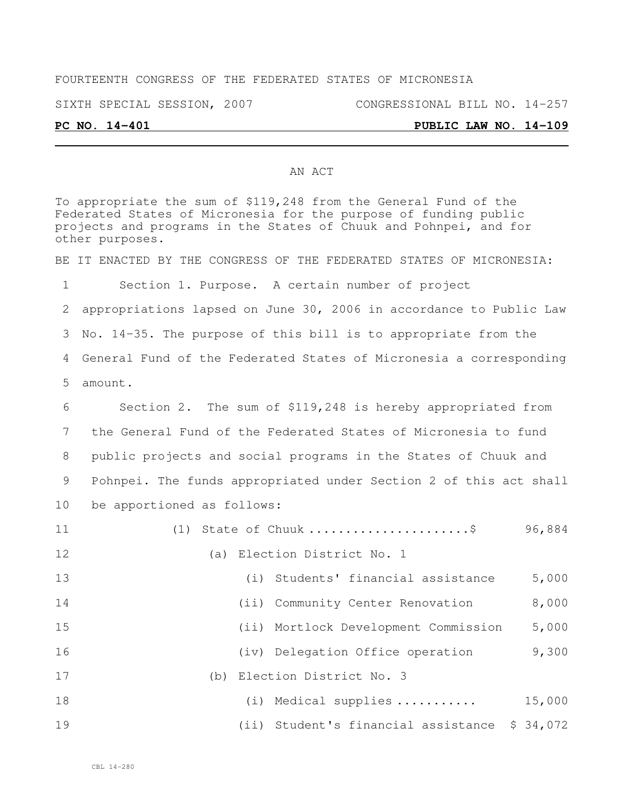## FOURTEENTH CONGRESS OF THE FEDERATED STATES OF MICRONESIA

SIXTH SPECIAL SESSION, 2007 CONGRESSIONAL BILL NO. 14-257

## AN ACT

To appropriate the sum of \$119,248 from the General Fund of the Federated States of Micronesia for the purpose of funding public projects and programs in the States of Chuuk and Pohnpei, and for other purposes. BE IT ENACTED BY THE CONGRESS OF THE FEDERATED STATES OF MICRONESIA: Section 1. Purpose. A certain number of project appropriations lapsed on June 30, 2006 in accordance to Public Law No. 14-35. The purpose of this bill is to appropriate from the General Fund of the Federated States of Micronesia a corresponding amount. Section 2. The sum of \$119,248 is hereby appropriated from the General Fund of the Federated States of Micronesia to fund public projects and social programs in the States of Chuuk and Pohnpei. The funds appropriated under Section 2 of this act shall be apportioned as follows: (1) State of Chuuk ......................\$ 96,884 12 (a) Election District No. 1 (i) Students' financial assistance 5,000 (ii) Community Center Renovation 8,000 (ii) Mortlock Development Commission 5,000 (iv) Delegation Office operation 9,300 (b) Election District No. 3 (i) Medical supplies ........... 15,000 (ii) Student's financial assistance \$ 34,072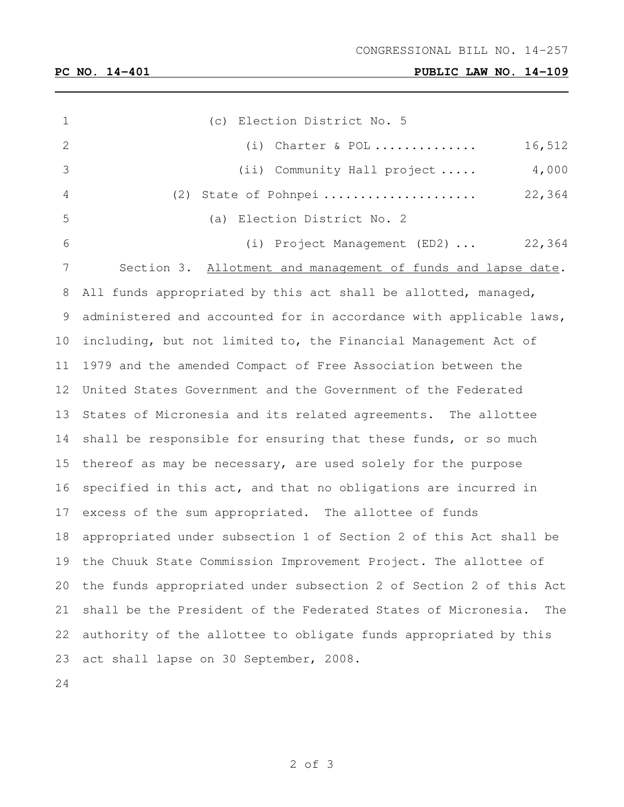**PC NO. 14-401 PUBLIC LAW NO. 14-109**

| 1  | (c) Election District No. 5                                          |  |  |  |  |  |  |  |  |  |
|----|----------------------------------------------------------------------|--|--|--|--|--|--|--|--|--|
| 2  | 16,512<br>$(i)$ Charter & POL                                        |  |  |  |  |  |  |  |  |  |
| 3  | (ii) Community Hall project $4,000$                                  |  |  |  |  |  |  |  |  |  |
| 4  | 22,364<br>(2) State of Pohnpei                                       |  |  |  |  |  |  |  |  |  |
| 5  | (a) Election District No. 2                                          |  |  |  |  |  |  |  |  |  |
| 6  | (i) Project Management (ED2)  22,364                                 |  |  |  |  |  |  |  |  |  |
| 7  | Section 3. Allotment and management of funds and lapse date.         |  |  |  |  |  |  |  |  |  |
| 8  | All funds appropriated by this act shall be allotted, managed,       |  |  |  |  |  |  |  |  |  |
| 9  | administered and accounted for in accordance with applicable laws,   |  |  |  |  |  |  |  |  |  |
| 10 | including, but not limited to, the Financial Management Act of       |  |  |  |  |  |  |  |  |  |
| 11 | 1979 and the amended Compact of Free Association between the         |  |  |  |  |  |  |  |  |  |
| 12 | United States Government and the Government of the Federated         |  |  |  |  |  |  |  |  |  |
| 13 | States of Micronesia and its related agreements. The allottee        |  |  |  |  |  |  |  |  |  |
| 14 | shall be responsible for ensuring that these funds, or so much       |  |  |  |  |  |  |  |  |  |
| 15 | thereof as may be necessary, are used solely for the purpose         |  |  |  |  |  |  |  |  |  |
| 16 | specified in this act, and that no obligations are incurred in       |  |  |  |  |  |  |  |  |  |
| 17 | excess of the sum appropriated. The allottee of funds                |  |  |  |  |  |  |  |  |  |
| 18 | appropriated under subsection 1 of Section 2 of this Act shall be    |  |  |  |  |  |  |  |  |  |
|    | 19 the Chuuk State Commission Improvement Project. The allottee of   |  |  |  |  |  |  |  |  |  |
| 20 | the funds appropriated under subsection 2 of Section 2 of this Act   |  |  |  |  |  |  |  |  |  |
| 21 | shall be the President of the Federated States of Micronesia.<br>The |  |  |  |  |  |  |  |  |  |
| 22 | authority of the allottee to obligate funds appropriated by this     |  |  |  |  |  |  |  |  |  |
| 23 | act shall lapse on 30 September, 2008.                               |  |  |  |  |  |  |  |  |  |
| 24 |                                                                      |  |  |  |  |  |  |  |  |  |